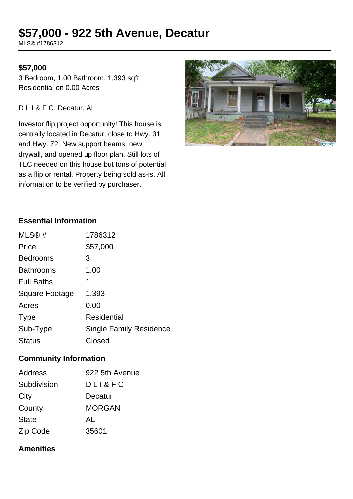# **\$57,000 - 922 5th Avenue, Decatur**

MLS® #1786312

## **\$57,000**

3 Bedroom, 1.00 Bathroom, 1,393 sqft Residential on 0.00 Acres

#### D L I & F C, Decatur, AL

Investor flip project opportunity! This house is centrally located in Decatur, close to Hwy. 31 and Hwy. 72. New support beams, new drywall, and opened up floor plan. Still lots of TLC needed on this house but tons of potential as a flip or rental. Property being sold as-is. All information to be verified by purchaser.



# **Essential Information**

| MLS@#             | 1786312                        |
|-------------------|--------------------------------|
| Price             | \$57,000                       |
| <b>Bedrooms</b>   | 3                              |
| <b>Bathrooms</b>  | 1.00                           |
| <b>Full Baths</b> | 1                              |
| Square Footage    | 1,393                          |
| Acres             | 0.00                           |
| <b>Type</b>       | <b>Residential</b>             |
| Sub-Type          | <b>Single Family Residence</b> |
| <b>Status</b>     | Closed                         |

#### **Community Information**

| <b>Address</b> | 922 5th Avenue |
|----------------|----------------|
| Subdivision    | DLL 8 F C      |
| City           | Decatur        |
| County         | <b>MORGAN</b>  |
| <b>State</b>   | AL             |
| Zip Code       | 35601          |

## **Amenities**